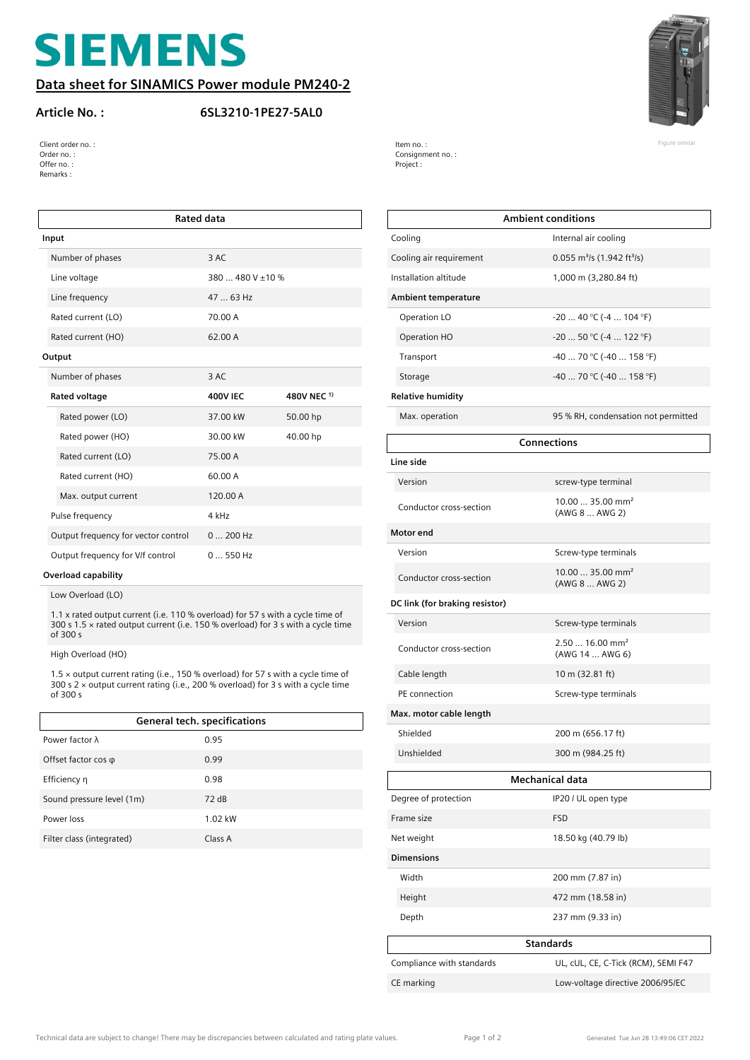# **SIEMENS**

#### **Data sheet for SINAMICS Power module PM240-2**

#### **Article No. : 6SL3210-1PE27-5AL0**



| Client order no. : | Item no.:        | Figure similar |
|--------------------|------------------|----------------|
| Order no. :        | Consignment no.: |                |
| Offer no. :        | Project :        |                |
| Remarks :          |                  |                |

| <b>Rated data</b>                   |                       |             |  |
|-------------------------------------|-----------------------|-------------|--|
| Input                               |                       |             |  |
| Number of phases                    | 3 AC                  |             |  |
| Line voltage                        | $380480$ V $\pm 10$ % |             |  |
| Line frequency                      | 47  63 Hz             |             |  |
| Rated current (LO)                  | 70.00 A               |             |  |
| Rated current (HO)                  | 62.00 A               |             |  |
| Output                              |                       |             |  |
| Number of phases                    | 3 AC                  |             |  |
| Rated voltage                       | <b>400V IEC</b>       | 480V NEC 1) |  |
| Rated power (LO)                    | 37.00 kW              | 50.00 hp    |  |
| Rated power (HO)                    | 30.00 kW              | 40.00 hp    |  |
| Rated current (LO)                  | 75.00 A               |             |  |
| Rated current (HO)                  | 60.00 A               |             |  |
| Max. output current                 | 120.00 A              |             |  |
| Pulse frequency                     | $4$ kHz               |             |  |
| Output frequency for vector control | 0  200 Hz             |             |  |
| Output frequency for V/f control    | $0550$ Hz             |             |  |

#### **Overload capability**

Low Overload (LO)

1.1 x rated output current (i.e. 110 % overload) for 57 s with a cycle time of 300 s 1.5 × rated output current (i.e. 150 % overload) for 3 s with a cycle time of 300 s

High Overload (HO)

1.5 × output current rating (i.e., 150 % overload) for 57 s with a cycle time of 300 s 2 × output current rating (i.e., 200 % overload) for 3 s with a cycle time of 300 s

| General tech. specifications |         |  |
|------------------------------|---------|--|
| Power factor $\lambda$       | 0.95    |  |
| Offset factor $cos \varphi$  | 0.99    |  |
| Efficiency n                 | 0.98    |  |
| Sound pressure level (1m)    | 72dB    |  |
| Power loss                   | 1.02 kW |  |
| Filter class (integrated)    | Class A |  |

| <b>Ambient conditions</b>      |                                                      |  |
|--------------------------------|------------------------------------------------------|--|
| Cooling                        | Internal air cooling                                 |  |
| Cooling air requirement        | $0.055$ m <sup>3</sup> /s (1.942 ft <sup>3</sup> /s) |  |
| Installation altitude          | 1,000 m (3,280.84 ft)                                |  |
| <b>Ambient temperature</b>     |                                                      |  |
| Operation LO                   | $-20$ 40 °C ( $-4$ 104 °F)                           |  |
| Operation HO                   | $-20$ 50 °C ( $-4$ 122 °F)                           |  |
| Transport                      | -40  70 °C (-40  158 °F)                             |  |
| Storage                        | -40  70 °C (-40  158 °F)                             |  |
| <b>Relative humidity</b>       |                                                      |  |
| Max. operation                 | 95 % RH, condensation not permitted                  |  |
| <b>Connections</b>             |                                                      |  |
| Line side                      |                                                      |  |
| Version                        | screw-type terminal                                  |  |
| Conductor cross-section        | $10.0035.00$ mm <sup>2</sup><br>(AWG 8  AWG 2)       |  |
| Motor end                      |                                                      |  |
| Version                        | Screw-type terminals                                 |  |
| Conductor cross-section        | $10.0035.00$ mm <sup>2</sup><br>(AWG 8  AWG 2)       |  |
| DC link (for braking resistor) |                                                      |  |
| Version                        | Screw-type terminals                                 |  |
| Conductor cross-section        | $2.5016.00$ mm <sup>2</sup><br>(AWG 14  AWG 6)       |  |
| Cable length                   | 10 m (32.81 ft)                                      |  |
| PE connection                  | Screw-type terminals                                 |  |
| Max. motor cable length        |                                                      |  |
| hielded                        | 200 m (656.17 ft)                                    |  |
| Unshielded                     | 300 m (984.25 ft)                                    |  |
| Mechanical data                |                                                      |  |
| Degree of protection           | IP20 / UL open type                                  |  |
| Frame size                     | <b>FSD</b>                                           |  |
| Net weight                     | 18.50 kg (40.79 lb)                                  |  |
| <b>Dimensions</b>              |                                                      |  |
| Width                          | 200 mm (7.87 in)                                     |  |
| Height                         | 472 mm (18.58 in)                                    |  |
| Depth                          | 237 mm (9.33 in)                                     |  |
| <b>Standards</b>               |                                                      |  |
| Compliance with standards      | UL, cUL, CE, C-Tick (RCM), SEMI F47                  |  |
| CE marking                     | Low-voltage directive 2006/95/EC                     |  |